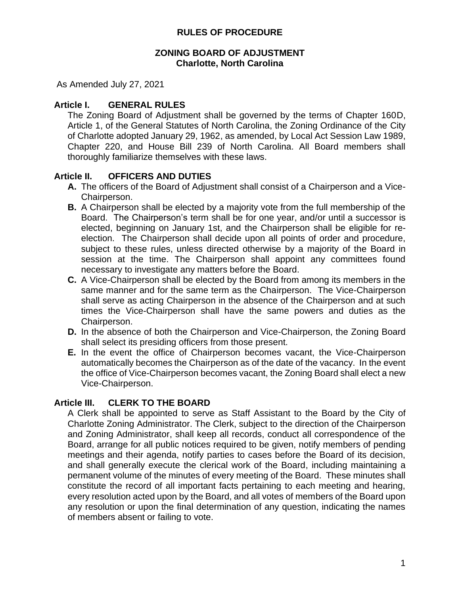### **ZONING BOARD OF ADJUSTMENT Charlotte, North Carolina**

As Amended July 27, 2021

## **Article I. GENERAL RULES**

The Zoning Board of Adjustment shall be governed by the terms of Chapter 160D, Article 1, of the General Statutes of North Carolina, the Zoning Ordinance of the City of Charlotte adopted January 29, 1962, as amended, by Local Act Session Law 1989, Chapter 220, and House Bill 239 of North Carolina. All Board members shall thoroughly familiarize themselves with these laws.

## **Article II. OFFICERS AND DUTIES**

- **A.** The officers of the Board of Adjustment shall consist of a Chairperson and a Vice-Chairperson.
- **B.** A Chairperson shall be elected by a majority vote from the full membership of the Board. The Chairperson's term shall be for one year, and/or until a successor is elected, beginning on January 1st, and the Chairperson shall be eligible for reelection. The Chairperson shall decide upon all points of order and procedure, subject to these rules, unless directed otherwise by a majority of the Board in session at the time. The Chairperson shall appoint any committees found necessary to investigate any matters before the Board.
- **C.** A Vice-Chairperson shall be elected by the Board from among its members in the same manner and for the same term as the Chairperson. The Vice-Chairperson shall serve as acting Chairperson in the absence of the Chairperson and at such times the Vice-Chairperson shall have the same powers and duties as the Chairperson.
- **D.** In the absence of both the Chairperson and Vice-Chairperson, the Zoning Board shall select its presiding officers from those present.
- **E.** In the event the office of Chairperson becomes vacant, the Vice-Chairperson automatically becomes the Chairperson as of the date of the vacancy. In the event the office of Vice-Chairperson becomes vacant, the Zoning Board shall elect a new Vice-Chairperson.

## **Article III. CLERK TO THE BOARD**

A Clerk shall be appointed to serve as Staff Assistant to the Board by the City of Charlotte Zoning Administrator. The Clerk, subject to the direction of the Chairperson and Zoning Administrator, shall keep all records, conduct all correspondence of the Board, arrange for all public notices required to be given, notify members of pending meetings and their agenda, notify parties to cases before the Board of its decision, and shall generally execute the clerical work of the Board, including maintaining a permanent volume of the minutes of every meeting of the Board. These minutes shall constitute the record of all important facts pertaining to each meeting and hearing, every resolution acted upon by the Board, and all votes of members of the Board upon any resolution or upon the final determination of any question, indicating the names of members absent or failing to vote.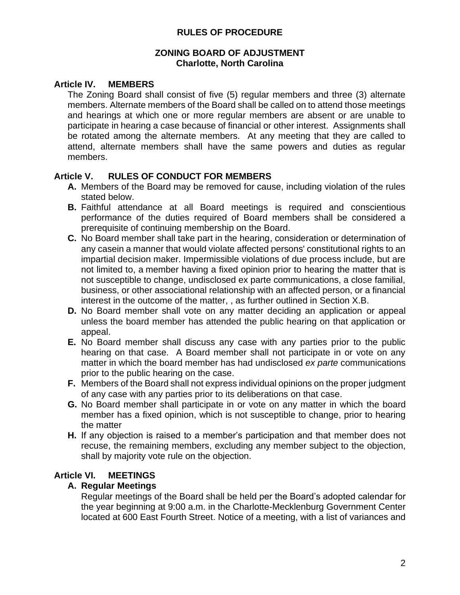## **ZONING BOARD OF ADJUSTMENT Charlotte, North Carolina**

## **Article IV. MEMBERS**

The Zoning Board shall consist of five (5) regular members and three (3) alternate members. Alternate members of the Board shall be called on to attend those meetings and hearings at which one or more regular members are absent or are unable to participate in hearing a case because of financial or other interest. Assignments shall be rotated among the alternate members. At any meeting that they are called to attend, alternate members shall have the same powers and duties as regular members.

## **Article V. RULES OF CONDUCT FOR MEMBERS**

- **A.** Members of the Board may be removed for cause, including violation of the rules stated below.
- **B.** Faithful attendance at all Board meetings is required and conscientious performance of the duties required of Board members shall be considered a prerequisite of continuing membership on the Board.
- **C.** No Board member shall take part in the hearing, consideration or determination of any casein a manner that would violate affected persons' constitutional rights to an impartial decision maker. Impermissible violations of due process include, but are not limited to, a member having a fixed opinion prior to hearing the matter that is not susceptible to change, undisclosed ex parte communications, a close familial, business, or other associational relationship with an affected person, or a financial interest in the outcome of the matter, , as further outlined in Section X.B.
- **D.** No Board member shall vote on any matter deciding an application or appeal unless the board member has attended the public hearing on that application or appeal.
- **E.** No Board member shall discuss any case with any parties prior to the public hearing on that case. A Board member shall not participate in or vote on any matter in which the board member has had undisclosed *ex parte* communications prior to the public hearing on the case.
- **F.** Members of the Board shall not express individual opinions on the proper judgment of any case with any parties prior to its deliberations on that case.
- **G.** No Board member shall participate in or vote on any matter in which the board member has a fixed opinion, which is not susceptible to change, prior to hearing the matter
- **H.** If any objection is raised to a member's participation and that member does not recuse, the remaining members, excluding any member subject to the objection, shall by majority vote rule on the objection.

# **Article VI. MEETINGS**

# **A. Regular Meetings**

Regular meetings of the Board shall be held per the Board's adopted calendar for the year beginning at 9:00 a.m. in the Charlotte-Mecklenburg Government Center located at 600 East Fourth Street. Notice of a meeting, with a list of variances and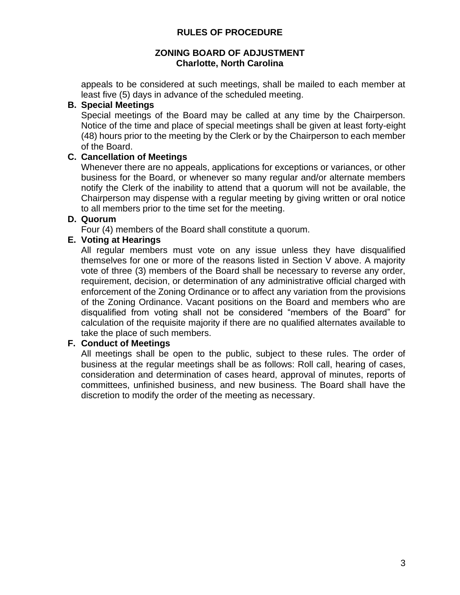## **ZONING BOARD OF ADJUSTMENT Charlotte, North Carolina**

appeals to be considered at such meetings, shall be mailed to each member at least five (5) days in advance of the scheduled meeting.

## **B. Special Meetings**

Special meetings of the Board may be called at any time by the Chairperson. Notice of the time and place of special meetings shall be given at least forty-eight (48) hours prior to the meeting by the Clerk or by the Chairperson to each member of the Board.

## **C. Cancellation of Meetings**

Whenever there are no appeals, applications for exceptions or variances, or other business for the Board, or whenever so many regular and/or alternate members notify the Clerk of the inability to attend that a quorum will not be available, the Chairperson may dispense with a regular meeting by giving written or oral notice to all members prior to the time set for the meeting.

## **D. Quorum**

Four (4) members of the Board shall constitute a quorum.

## **E. Voting at Hearings**

All regular members must vote on any issue unless they have disqualified themselves for one or more of the reasons listed in Section V above. A majority vote of three (3) members of the Board shall be necessary to reverse any order, requirement, decision, or determination of any administrative official charged with enforcement of the Zoning Ordinance or to affect any variation from the provisions of the Zoning Ordinance. Vacant positions on the Board and members who are disqualified from voting shall not be considered "members of the Board" for calculation of the requisite majority if there are no qualified alternates available to take the place of such members.

## **F. Conduct of Meetings**

All meetings shall be open to the public, subject to these rules. The order of business at the regular meetings shall be as follows: Roll call, hearing of cases, consideration and determination of cases heard, approval of minutes, reports of committees, unfinished business, and new business. The Board shall have the discretion to modify the order of the meeting as necessary.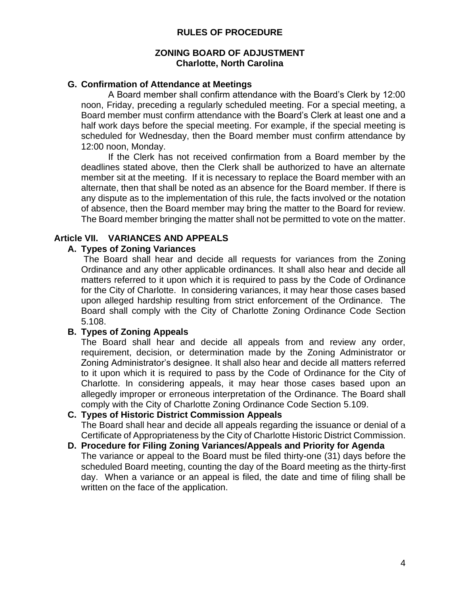### **ZONING BOARD OF ADJUSTMENT Charlotte, North Carolina**

### **G. Confirmation of Attendance at Meetings**

A Board member shall confirm attendance with the Board's Clerk by 12:00 noon, Friday, preceding a regularly scheduled meeting. For a special meeting, a Board member must confirm attendance with the Board's Clerk at least one and a half work days before the special meeting. For example, if the special meeting is scheduled for Wednesday, then the Board member must confirm attendance by 12:00 noon, Monday.

If the Clerk has not received confirmation from a Board member by the deadlines stated above, then the Clerk shall be authorized to have an alternate member sit at the meeting. If it is necessary to replace the Board member with an alternate, then that shall be noted as an absence for the Board member. If there is any dispute as to the implementation of this rule, the facts involved or the notation of absence, then the Board member may bring the matter to the Board for review. The Board member bringing the matter shall not be permitted to vote on the matter.

### **Article VII. VARIANCES AND APPEALS**

### **A. Types of Zoning Variances**

The Board shall hear and decide all requests for variances from the Zoning Ordinance and any other applicable ordinances. It shall also hear and decide all matters referred to it upon which it is required to pass by the Code of Ordinance for the City of Charlotte. In considering variances, it may hear those cases based upon alleged hardship resulting from strict enforcement of the Ordinance. The Board shall comply with the City of Charlotte Zoning Ordinance Code Section 5.108.

## **B. Types of Zoning Appeals**

The Board shall hear and decide all appeals from and review any order, requirement, decision, or determination made by the Zoning Administrator or Zoning Administrator's designee. It shall also hear and decide all matters referred to it upon which it is required to pass by the Code of Ordinance for the City of Charlotte. In considering appeals, it may hear those cases based upon an allegedly improper or erroneous interpretation of the Ordinance. The Board shall comply with the City of Charlotte Zoning Ordinance Code Section 5.109.

#### **C. Types of Historic District Commission Appeals**

The Board shall hear and decide all appeals regarding the issuance or denial of a Certificate of Appropriateness by the City of Charlotte Historic District Commission.

#### **D. Procedure for Filing Zoning Variances/Appeals and Priority for Agenda** The variance or appeal to the Board must be filed thirty-one (31) days before the scheduled Board meeting, counting the day of the Board meeting as the thirty-first day. When a variance or an appeal is filed, the date and time of filing shall be written on the face of the application.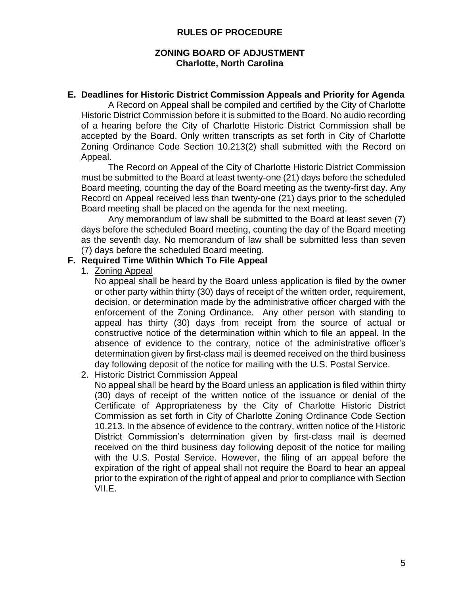## **ZONING BOARD OF ADJUSTMENT Charlotte, North Carolina**

## **E. Deadlines for Historic District Commission Appeals and Priority for Agenda**

A Record on Appeal shall be compiled and certified by the City of Charlotte Historic District Commission before it is submitted to the Board. No audio recording of a hearing before the City of Charlotte Historic District Commission shall be accepted by the Board. Only written transcripts as set forth in City of Charlotte Zoning Ordinance Code Section 10.213(2) shall submitted with the Record on Appeal.

The Record on Appeal of the City of Charlotte Historic District Commission must be submitted to the Board at least twenty-one (21) days before the scheduled Board meeting, counting the day of the Board meeting as the twenty-first day. Any Record on Appeal received less than twenty-one (21) days prior to the scheduled Board meeting shall be placed on the agenda for the next meeting.

Any memorandum of law shall be submitted to the Board at least seven (7) days before the scheduled Board meeting, counting the day of the Board meeting as the seventh day. No memorandum of law shall be submitted less than seven (7) days before the scheduled Board meeting.

## **F. Required Time Within Which To File Appeal**

1. Zoning Appeal

No appeal shall be heard by the Board unless application is filed by the owner or other party within thirty (30) days of receipt of the written order, requirement, decision, or determination made by the administrative officer charged with the enforcement of the Zoning Ordinance. Any other person with standing to appeal has thirty (30) days from receipt from the source of actual or constructive notice of the determination within which to file an appeal. In the absence of evidence to the contrary, notice of the administrative officer's determination given by first-class mail is deemed received on the third business day following deposit of the notice for mailing with the U.S. Postal Service.

## 2. Historic District Commission Appeal

No appeal shall be heard by the Board unless an application is filed within thirty (30) days of receipt of the written notice of the issuance or denial of the Certificate of Appropriateness by the City of Charlotte Historic District Commission as set forth in City of Charlotte Zoning Ordinance Code Section 10.213. In the absence of evidence to the contrary, written notice of the Historic District Commission's determination given by first-class mail is deemed received on the third business day following deposit of the notice for mailing with the U.S. Postal Service. However, the filing of an appeal before the expiration of the right of appeal shall not require the Board to hear an appeal prior to the expiration of the right of appeal and prior to compliance with Section VII.E.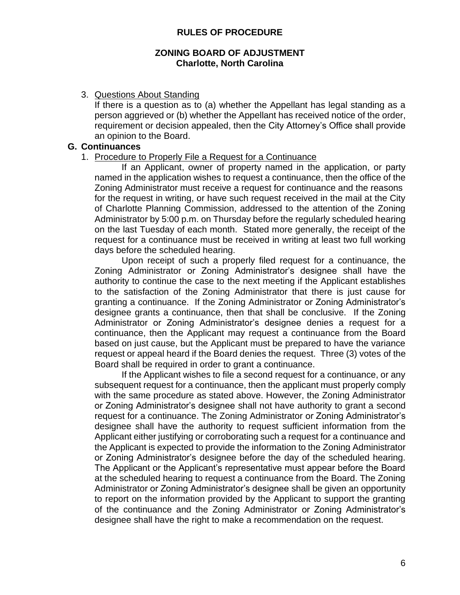#### **ZONING BOARD OF ADJUSTMENT Charlotte, North Carolina**

#### 3. Questions About Standing

If there is a question as to (a) whether the Appellant has legal standing as a person aggrieved or (b) whether the Appellant has received notice of the order, requirement or decision appealed, then the City Attorney's Office shall provide an opinion to the Board.

#### **G. Continuances**

#### 1. Procedure to Properly File a Request for a Continuance

If an Applicant, owner of property named in the application, or party named in the application wishes to request a continuance, then the office of the Zoning Administrator must receive a request for continuance and the reasons for the request in writing, or have such request received in the mail at the City of Charlotte Planning Commission, addressed to the attention of the Zoning Administrator by 5:00 p.m. on Thursday before the regularly scheduled hearing on the last Tuesday of each month. Stated more generally, the receipt of the request for a continuance must be received in writing at least two full working days before the scheduled hearing.

Upon receipt of such a properly filed request for a continuance, the Zoning Administrator or Zoning Administrator's designee shall have the authority to continue the case to the next meeting if the Applicant establishes to the satisfaction of the Zoning Administrator that there is just cause for granting a continuance. If the Zoning Administrator or Zoning Administrator's designee grants a continuance, then that shall be conclusive. If the Zoning Administrator or Zoning Administrator's designee denies a request for a continuance, then the Applicant may request a continuance from the Board based on just cause, but the Applicant must be prepared to have the variance request or appeal heard if the Board denies the request. Three (3) votes of the Board shall be required in order to grant a continuance.

If the Applicant wishes to file a second request for a continuance, or any subsequent request for a continuance, then the applicant must properly comply with the same procedure as stated above. However, the Zoning Administrator or Zoning Administrator's designee shall not have authority to grant a second request for a continuance. The Zoning Administrator or Zoning Administrator's designee shall have the authority to request sufficient information from the Applicant either justifying or corroborating such a request for a continuance and the Applicant is expected to provide the information to the Zoning Administrator or Zoning Administrator's designee before the day of the scheduled hearing. The Applicant or the Applicant's representative must appear before the Board at the scheduled hearing to request a continuance from the Board. The Zoning Administrator or Zoning Administrator's designee shall be given an opportunity to report on the information provided by the Applicant to support the granting of the continuance and the Zoning Administrator or Zoning Administrator's designee shall have the right to make a recommendation on the request.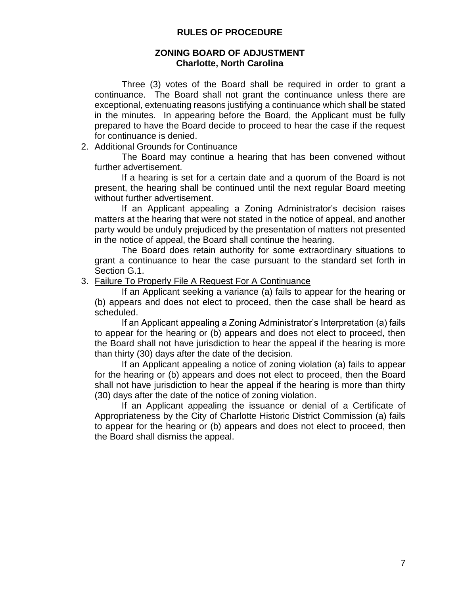#### **ZONING BOARD OF ADJUSTMENT Charlotte, North Carolina**

Three (3) votes of the Board shall be required in order to grant a continuance. The Board shall not grant the continuance unless there are exceptional, extenuating reasons justifying a continuance which shall be stated in the minutes. In appearing before the Board, the Applicant must be fully prepared to have the Board decide to proceed to hear the case if the request for continuance is denied.

### 2. Additional Grounds for Continuance

The Board may continue a hearing that has been convened without further advertisement.

If a hearing is set for a certain date and a quorum of the Board is not present, the hearing shall be continued until the next regular Board meeting without further advertisement.

If an Applicant appealing a Zoning Administrator's decision raises matters at the hearing that were not stated in the notice of appeal, and another party would be unduly prejudiced by the presentation of matters not presented in the notice of appeal, the Board shall continue the hearing.

The Board does retain authority for some extraordinary situations to grant a continuance to hear the case pursuant to the standard set forth in Section G.1.

#### 3. Failure To Properly File A Request For A Continuance

If an Applicant seeking a variance (a) fails to appear for the hearing or (b) appears and does not elect to proceed, then the case shall be heard as scheduled.

If an Applicant appealing a Zoning Administrator's Interpretation (a) fails to appear for the hearing or (b) appears and does not elect to proceed, then the Board shall not have jurisdiction to hear the appeal if the hearing is more than thirty (30) days after the date of the decision.

If an Applicant appealing a notice of zoning violation (a) fails to appear for the hearing or (b) appears and does not elect to proceed, then the Board shall not have jurisdiction to hear the appeal if the hearing is more than thirty (30) days after the date of the notice of zoning violation.

If an Applicant appealing the issuance or denial of a Certificate of Appropriateness by the City of Charlotte Historic District Commission (a) fails to appear for the hearing or (b) appears and does not elect to proceed, then the Board shall dismiss the appeal.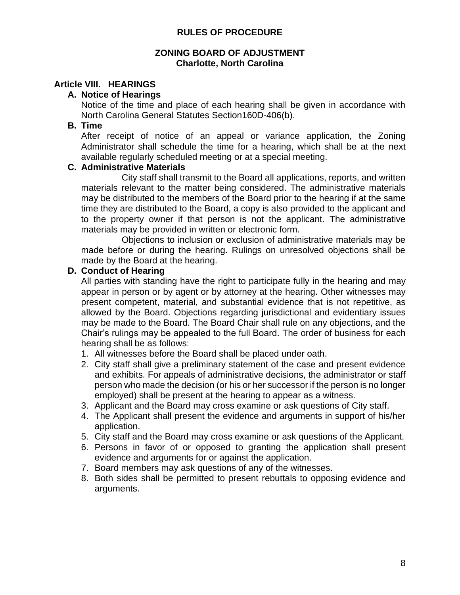#### **ZONING BOARD OF ADJUSTMENT Charlotte, North Carolina**

## **Article VIII. HEARINGS**

### **A. Notice of Hearings**

Notice of the time and place of each hearing shall be given in accordance with North Carolina General Statutes Section160D-406(b).

### **B. Time**

After receipt of notice of an appeal or variance application, the Zoning Administrator shall schedule the time for a hearing, which shall be at the next available regularly scheduled meeting or at a special meeting.

### **C. Administrative Materials**

City staff shall transmit to the Board all applications, reports, and written materials relevant to the matter being considered. The administrative materials may be distributed to the members of the Board prior to the hearing if at the same time they are distributed to the Board, a copy is also provided to the applicant and to the property owner if that person is not the applicant. The administrative materials may be provided in written or electronic form.

Objections to inclusion or exclusion of administrative materials may be made before or during the hearing. Rulings on unresolved objections shall be made by the Board at the hearing.

### **D. Conduct of Hearing**

All parties with standing have the right to participate fully in the hearing and may appear in person or by agent or by attorney at the hearing. Other witnesses may present competent, material, and substantial evidence that is not repetitive, as allowed by the Board. Objections regarding jurisdictional and evidentiary issues may be made to the Board. The Board Chair shall rule on any objections, and the Chair's rulings may be appealed to the full Board. The order of business for each hearing shall be as follows:

- 1. All witnesses before the Board shall be placed under oath.
- 2. City staff shall give a preliminary statement of the case and present evidence and exhibits. For appeals of administrative decisions, the administrator or staff person who made the decision (or his or her successor if the person is no longer employed) shall be present at the hearing to appear as a witness.
- 3. Applicant and the Board may cross examine or ask questions of City staff.
- 4. The Applicant shall present the evidence and arguments in support of his/her application.
- 5. City staff and the Board may cross examine or ask questions of the Applicant.
- 6. Persons in favor of or opposed to granting the application shall present evidence and arguments for or against the application.
- 7. Board members may ask questions of any of the witnesses.
- 8. Both sides shall be permitted to present rebuttals to opposing evidence and arguments.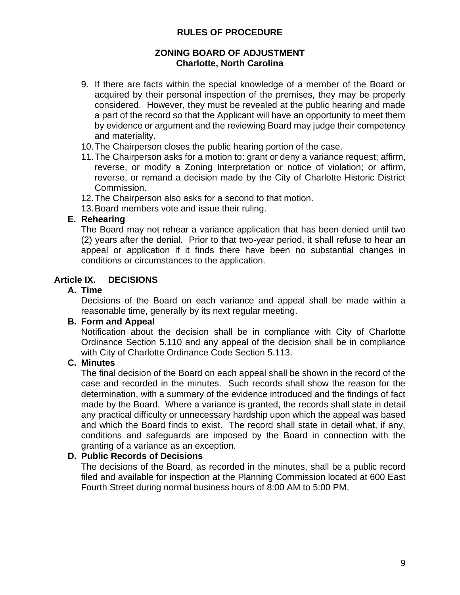## **ZONING BOARD OF ADJUSTMENT Charlotte, North Carolina**

- 9. If there are facts within the special knowledge of a member of the Board or acquired by their personal inspection of the premises, they may be properly considered. However, they must be revealed at the public hearing and made a part of the record so that the Applicant will have an opportunity to meet them by evidence or argument and the reviewing Board may judge their competency and materiality.
- 10.The Chairperson closes the public hearing portion of the case.
- 11.The Chairperson asks for a motion to: grant or deny a variance request; affirm, reverse, or modify a Zoning Interpretation or notice of violation; or affirm, reverse, or remand a decision made by the City of Charlotte Historic District Commission.
- 12.The Chairperson also asks for a second to that motion.

13.Board members vote and issue their ruling.

## **E. Rehearing**

The Board may not rehear a variance application that has been denied until two (2) years after the denial. Prior to that two-year period, it shall refuse to hear an appeal or application if it finds there have been no substantial changes in conditions or circumstances to the application.

# **Article IX. DECISIONS**

## **A. Time**

Decisions of the Board on each variance and appeal shall be made within a reasonable time, generally by its next regular meeting.

## **B. Form and Appeal**

Notification about the decision shall be in compliance with City of Charlotte Ordinance Section 5.110 and any appeal of the decision shall be in compliance with City of Charlotte Ordinance Code Section 5.113.

## **C. Minutes**

The final decision of the Board on each appeal shall be shown in the record of the case and recorded in the minutes. Such records shall show the reason for the determination, with a summary of the evidence introduced and the findings of fact made by the Board. Where a variance is granted, the records shall state in detail any practical difficulty or unnecessary hardship upon which the appeal was based and which the Board finds to exist. The record shall state in detail what, if any, conditions and safeguards are imposed by the Board in connection with the granting of a variance as an exception.

## **D. Public Records of Decisions**

The decisions of the Board, as recorded in the minutes, shall be a public record filed and available for inspection at the Planning Commission located at 600 East Fourth Street during normal business hours of 8:00 AM to 5:00 PM.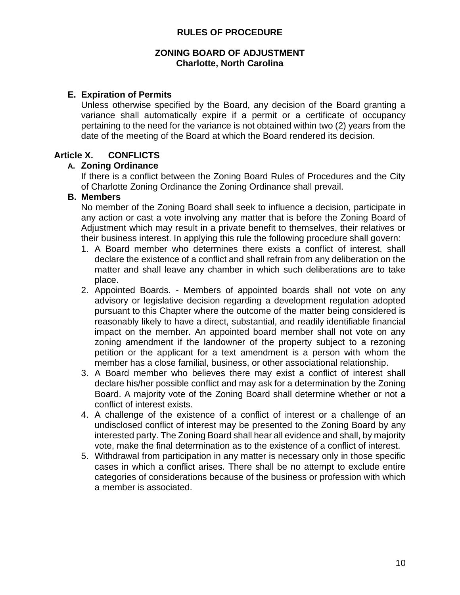#### **ZONING BOARD OF ADJUSTMENT Charlotte, North Carolina**

## **E. Expiration of Permits**

Unless otherwise specified by the Board, any decision of the Board granting a variance shall automatically expire if a permit or a certificate of occupancy pertaining to the need for the variance is not obtained within two (2) years from the date of the meeting of the Board at which the Board rendered its decision.

## **Article X. CONFLICTS**

### **A. Zoning Ordinance**

If there is a conflict between the Zoning Board Rules of Procedures and the City of Charlotte Zoning Ordinance the Zoning Ordinance shall prevail.

## **B. Members**

No member of the Zoning Board shall seek to influence a decision, participate in any action or cast a vote involving any matter that is before the Zoning Board of Adjustment which may result in a private benefit to themselves, their relatives or their business interest. In applying this rule the following procedure shall govern:

- 1. A Board member who determines there exists a conflict of interest, shall declare the existence of a conflict and shall refrain from any deliberation on the matter and shall leave any chamber in which such deliberations are to take place.
- 2. Appointed Boards. Members of appointed boards shall not vote on any advisory or legislative decision regarding a development regulation adopted pursuant to this Chapter where the outcome of the matter being considered is reasonably likely to have a direct, substantial, and readily identifiable financial impact on the member. An appointed board member shall not vote on any zoning amendment if the landowner of the property subject to a rezoning petition or the applicant for a text amendment is a person with whom the member has a close familial, business, or other associational relationship.
- 3. A Board member who believes there may exist a conflict of interest shall declare his/her possible conflict and may ask for a determination by the Zoning Board. A majority vote of the Zoning Board shall determine whether or not a conflict of interest exists.
- 4. A challenge of the existence of a conflict of interest or a challenge of an undisclosed conflict of interest may be presented to the Zoning Board by any interested party. The Zoning Board shall hear all evidence and shall, by majority vote, make the final determination as to the existence of a conflict of interest.
- 5. Withdrawal from participation in any matter is necessary only in those specific cases in which a conflict arises. There shall be no attempt to exclude entire categories of considerations because of the business or profession with which a member is associated.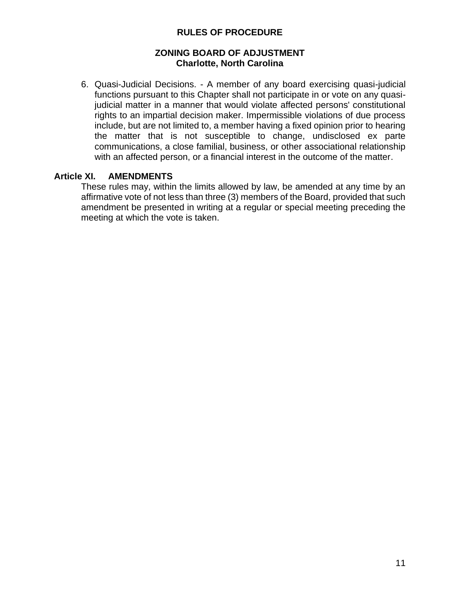## **ZONING BOARD OF ADJUSTMENT Charlotte, North Carolina**

6. Quasi-Judicial Decisions. - A member of any board exercising quasi-judicial functions pursuant to this Chapter shall not participate in or vote on any quasijudicial matter in a manner that would violate affected persons' constitutional rights to an impartial decision maker. Impermissible violations of due process include, but are not limited to, a member having a fixed opinion prior to hearing the matter that is not susceptible to change, undisclosed ex parte communications, a close familial, business, or other associational relationship with an affected person, or a financial interest in the outcome of the matter.

## **Article XI. AMENDMENTS**

These rules may, within the limits allowed by law, be amended at any time by an affirmative vote of not less than three (3) members of the Board, provided that such amendment be presented in writing at a regular or special meeting preceding the meeting at which the vote is taken.